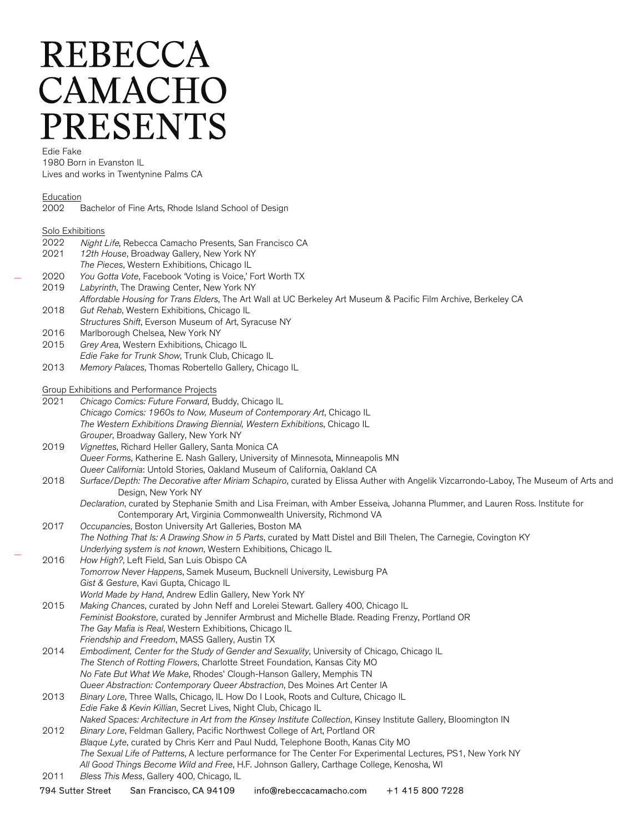# **REBECCA** CAMACHO **PRESENTS**

Edie Fake

1980 Born in Evanston IL Lives and works in Twentynine Palms CA

#### Education

| 2002 | Bachelor of Fine Arts, Rhode Island School of Design |  |
|------|------------------------------------------------------|--|
|      |                                                      |  |

### Solo Exhibitions

- 2022 Night Life, Rebecca Camacho Presents, San Francisco CA
- 2021 12th House, Broadway Gallery, New York NY
- The Pieces, Western Exhibitions, Chicago IL
- 2020 You Gotta Vote, Facebook 'Voting is Voice,' Fort Worth TX
- 2019 Labyrinth, The Drawing Center, New York NY
- Affordable Housing for Trans Elders, The Art Wall at UC Berkeley Art Museum & Pacific Film Archive, Berkeley CA 2018 Gut Rehab, Western Exhibitions, Chicago IL
- Structures Shift, Everson Museum of Art, Syracuse NY
- 2016 Marlborough Chelsea, New York NY
- 2015 Grey Area, Western Exhibitions, Chicago IL Edie Fake for Trunk Show, Trunk Club, Chicago IL
- 2013 Memory Palaces, Thomas Robertello Gallery, Chicago IL

#### Group Exhibitions and Performance Projects

- 2021 Chicago Comics: Future Forward, Buddy, Chicago IL Chicago Comics: 1960s to Now, Museum of Contemporary Art, Chicago IL The Western Exhibitions Drawing Biennial, Western Exhibitions, Chicago IL Grouper, Broadway Gallery, New York NY
- 2019 Vignettes, Richard Heller Gallery, Santa Monica CA Queer Forms, Katherine E. Nash Gallery, University of Minnesota, Minneapolis MN Queer California: Untold Stories, Oakland Museum of California, Oakland CA
- 2018 Surface/Depth: The Decorative after Miriam Schapiro, curated by Elissa Auther with Angelik Vizcarrondo-Laboy, The Museum of Arts and Design, New York NY
	- Declaration, curated by Stephanie Smith and Lisa Freiman, with Amber Esseiva, Johanna Plummer, and Lauren Ross. Institute for Contemporary Art, Virginia Commonwealth University, Richmond VA
- 2017 Occupancies, Boston University Art Galleries, Boston MA The Nothing That Is: A Drawing Show in 5 Parts, curated by Matt Distel and Bill Thelen, The Carnegie, Covington KY Underlying system is not known, Western Exhibitions, Chicago IL
- 2016 How High?, Left Field, San Luis Obispo CA Tomorrow Never Happens, Samek Museum, Bucknell University, Lewisburg PA Gist & Gesture, Kavi Gupta, Chicago IL World Made by Hand, Andrew Edlin Gallery, New York NY
- 2015 Making Chances, curated by John Neff and Lorelei Stewart. Gallery 400, Chicago IL Feminist Bookstore, curated by Jennifer Armbrust and Michelle Blade. Reading Frenzy, Portland OR The Gay Mafia is Real, Western Exhibitions, Chicago IL Friendship and Freedom, MASS Gallery, Austin TX
- 2014 Embodiment, Center for the Study of Gender and Sexuality, University of Chicago, Chicago IL The Stench of Rotting Flowers, Charlotte Street Foundation, Kansas City MO No Fate But What We Make, Rhodes' Clough-Hanson Gallery, Memphis TN Queer Abstraction: Contemporary Queer Abstraction, Des Moines Art Center IA
- 2013 Binary Lore, Three Walls, Chicago, IL How Do I Look, Roots and Culture, Chicago IL Edie Fake & Kevin Killian, Secret Lives, Night Club, Chicago IL Naked Spaces: Architecture in Art from the Kinsey Institute Collection, Kinsey Institute Gallery, Bloomington IN 2012 Binary Lore, Feldman Gallery, Pacific Northwest College of Art, Portland OR
- Blaque Lyte, curated by Chris Kerr and Paul Nudd, Telephone Booth, Kanas City MO The Sexual Life of Patterns, A lecture performance for The Center For Experimental Lectures, PS1, New York NY All Good Things Become Wild and Free, H.F. Johnson Gallery, Carthage College, Kenosha, WI
- 2011 Bless This Mess, Gallery 400, Chicago, IL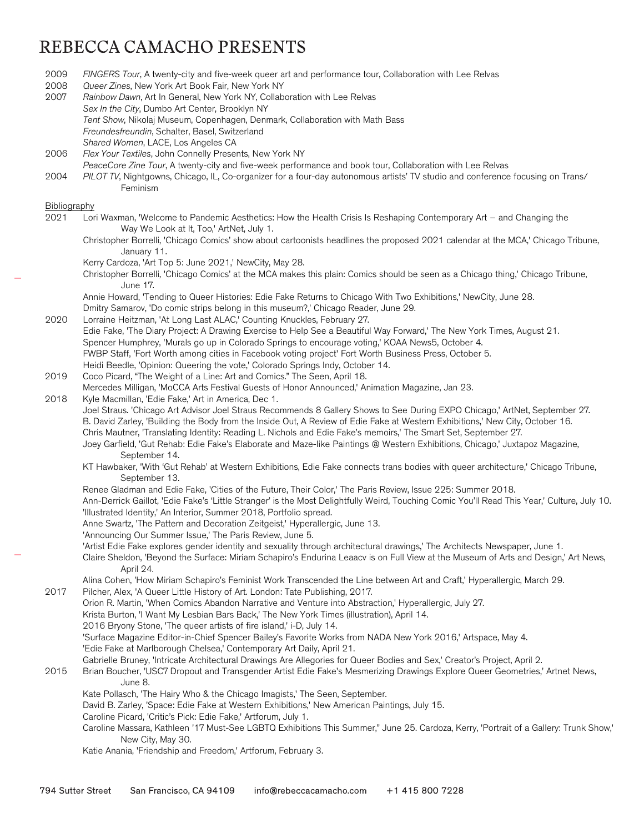## REBECCA CAMACHO PRESENTS

2009 FINGERS Tour, A twenty-city and five-week queer art and performance tour, Collaboration with Lee Relvas 2008 Oueer Zines, New York Art Book Fair, New York NY 2007 Rainbow Dawn, Art In General, New York NY, Collaboration with Lee Relvas Sex In the City, Dumbo Art Center, Brooklyn NY Tent Show, Nikolaj Museum, Copenhagen, Denmark, Collaboration with Math Bass Freundesfreundin, Schalter, Basel, Switzerland Shared Women, LACE, Los Angeles CA 2006 Flex Your Textiles, John Connelly Presents, New York NY PeaceCore Zine Tour, A twenty-city and five-week performance and book tour, Collaboration with Lee Relvas 2004 PILOT TV, Nightgowns, Chicago, IL, Co-organizer for a four-day autonomous artists' TV studio and conference focusing on Trans/ Feminism Bibliography 2021 Lori Waxman, 'Welcome to Pandemic Aesthetics: How the Health Crisis Is Reshaping Contemporary Art – and Changing the Way We Look at It, Too,' ArtNet, July 1. Christopher Borrelli, 'Chicago Comics' show about cartoonists headlines the proposed 2021 calendar at the MCA,' Chicago Tribune, January 11. Kerry Cardoza, 'Art Top 5: June 2021,' NewCity, May 28. Christopher Borrelli, 'Chicago Comics' at the MCA makes this plain: Comics should be seen as a Chicago thing,' Chicago Tribune, June 17. Annie Howard, 'Tending to Queer Histories: Edie Fake Returns to Chicago With Two Exhibitions,' NewCity, June 28. Dmitry Samarov, 'Do comic strips belong in this museum?,' Chicago Reader, June 29. 2020 Lorraine Heitzman, 'At Long Last ALAC,' Counting Knuckles, February 27. Edie Fake, 'The Diary Project: A Drawing Exercise to Help See a Beautiful Way Forward,' The New York Times, August 21. Spencer Humphrey, 'Murals go up in Colorado Springs to encourage voting,' KOAA News5, October 4. FWBP Staff, 'Fort Worth among cities in Facebook voting project' Fort Worth Business Press, October 5. Heidi Beedle, 'Opinion: Queering the vote,' Colorado Springs Indy, October 14. 2019 Coco Picard, "The Weight of a Line: Art and Comics." The Seen, April 18. Mercedes Milligan, 'MoCCA Arts Festival Guests of Honor Announced,' Animation Magazine, Jan 23. 2018 Kyle Macmillan, 'Edie Fake,' Art in America, Dec 1. Joel Straus. 'Chicago Art Advisor Joel Straus Recommends 8 Gallery Shows to See During EXPO Chicago,' ArtNet, September 27. B. David Zarley, 'Building the Body from the Inside Out, A Review of Edie Fake at Western Exhibitions,' New City, October 16. Chris Mautner, 'Translating Identity: Reading L. Nichols and Edie Fake's memoirs,' The Smart Set, September 27. Joey Garfield, 'Gut Rehab: Edie Fake's Elaborate and Maze-like Paintings @ Western Exhibitions, Chicago,' Juxtapoz Magazine, September 14. KT Hawbaker, 'With 'Gut Rehab' at Western Exhibitions, Edie Fake connects trans bodies with queer architecture,' Chicago Tribune, September 13. Renee Gladman and Edie Fake, 'Cities of the Future, Their Color,' The Paris Review, Issue 225: Summer 2018. Ann-Derrick Gaillot, 'Edie Fake's 'Little Stranger' is the Most Delightfully Weird, Touching Comic You'll Read This Year,' Culture, July 10. 'Illustrated Identity,' An Interior, Summer 2018, Portfolio spread. Anne Swartz, 'The Pattern and Decoration Zeitgeist,' Hyperallergic, June 13. 'Announcing Our Summer Issue,' The Paris Review, June 5. 'Artist Edie Fake explores gender identity and sexuality through architectural drawings,' The Architects Newspaper, June 1. Claire Sheldon, 'Beyond the Surface: Miriam Schapiro's Endurina Leaacv is on Full View at the Museum of Arts and Design,' Art News, April 24. Alina Cohen, 'How Miriam Schapiro's Feminist Work Transcended the Line between Art and Craft,' Hyperallergic, March 29. 2017 Pilcher, Alex, 'A Queer Little History of Art. London: Tate Publishing, 2017. Orion R. Martin, 'When Comics Abandon Narrative and Venture into Abstraction,' Hyperallergic, July 27. Krista Burton, 'I Want My Lesbian Bars Back,' The New York Times (illustration), April 14. 2016 Bryony Stone, 'The queer artists of fire island,' i-D, July 14. 'Surface Magazine Editor-in-Chief Spencer Bailey's Favorite Works from NADA New York 2016,' Artspace, May 4. 'Edie Fake at Marlborough Chelsea,' Contemporary Art Daily, April 21. Gabrielle Bruney, 'Intricate Architectural Drawings Are Allegories for Queer Bodies and Sex,' Creator's Project, April 2. 2015 Brian Boucher, 'USC7 Dropout and Transgender Artist Edie Fake's Mesmerizing Drawings Explore Queer Geometries,' Artnet News, June 8. Kate Pollasch, 'The Hairy Who & the Chicago Imagists,' The Seen, September. David B. Zarley, 'Space: Edie Fake at Western Exhibitions,' New American Paintings, July 15. Caroline Picard, 'Critic's Pick: Edie Fake,' Artforum, July 1. Caroline Massara, Kathleen '17 Must-See LGBTQ Exhibitions This Summer," June 25. Cardoza, Kerry, 'Portrait of a Gallery: Trunk Show,' New City, May 30. Katie Anania, 'Friendship and Freedom,' Artforum, February 3.